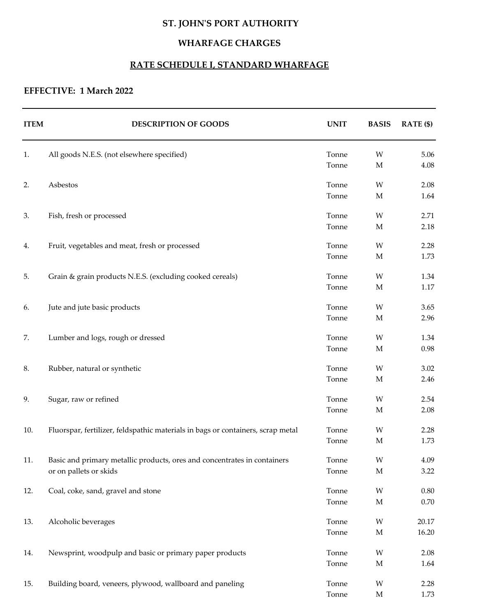# **ST. JOHN'S PORT AUTHORITY**

## **WHARFAGE CHARGES**

### **RATE SCHEDULE I, STANDARD WHARFAGE**

## **EFFECTIVE: 1 March 2022**

| <b>ITEM</b> | <b>DESCRIPTION OF GOODS</b>                                                     | <b>UNIT</b>    | <b>BASIS</b> | RATE (\$)      |
|-------------|---------------------------------------------------------------------------------|----------------|--------------|----------------|
| 1.          | All goods N.E.S. (not elsewhere specified)                                      | Tonne          | W            | 5.06           |
|             |                                                                                 | Tonne          | $\mathbf M$  | 4.08           |
| 2.          | Asbestos                                                                        | Tonne          | W            | 2.08           |
|             |                                                                                 | Tonne          | $\mathbf M$  | 1.64           |
| 3.          | Fish, fresh or processed                                                        | Tonne          | W            | 2.71           |
|             |                                                                                 | Tonne          | $\mathbf M$  | 2.18           |
| 4.          | Fruit, vegetables and meat, fresh or processed                                  | Tonne          | W            | 2.28           |
|             |                                                                                 | Tonne          | $\mathbf M$  | 1.73           |
| 5.          | Grain & grain products N.E.S. (excluding cooked cereals)                        | Tonne          | W            | 1.34           |
|             |                                                                                 | Tonne          | M            | $1.17\,$       |
| 6.          | Jute and jute basic products                                                    | Tonne          | W            | 3.65           |
|             |                                                                                 | Tonne          | $\mathbf M$  | 2.96           |
| 7.          | Lumber and logs, rough or dressed                                               | Tonne          | W            | 1.34           |
|             |                                                                                 | Tonne          | $\mathbf M$  | 0.98           |
| 8.          | Rubber, natural or synthetic                                                    | Tonne          | W            | 3.02           |
|             |                                                                                 | Tonne          | $\mathbf M$  | 2.46           |
| 9.          | Sugar, raw or refined                                                           | Tonne          | W            | 2.54           |
|             |                                                                                 | Tonne          | M            | 2.08           |
| 10.         | Fluorspar, fertilizer, feldspathic materials in bags or containers, scrap metal | Tonne          | W            | 2.28           |
|             |                                                                                 | Tonne          | $\mathbf M$  | 1.73           |
| 11.         | Basic and primary metallic products, ores and concentrates in containers        | Tonne          | W            | 4.09           |
|             | or on pallets or skids                                                          | Tonne          | $\mathbf M$  | 3.22           |
| 12.         | Coal, coke, sand, gravel and stone                                              | Tonne          | W            | $0.80\,$       |
|             |                                                                                 | Tonne          | M            | $0.70\,$       |
|             |                                                                                 |                |              |                |
| 13.         | Alcoholic beverages                                                             | Tonne<br>Tonne | W<br>M       | 20.17<br>16.20 |
|             |                                                                                 |                |              |                |
| 14.         | Newsprint, woodpulp and basic or primary paper products                         | Tonne<br>Tonne | W<br>M       | 2.08<br>1.64   |
|             |                                                                                 |                |              |                |
| 15.         | Building board, veneers, plywood, wallboard and paneling                        | Tonne<br>Tonne | W<br>M       | 2.28<br>1.73   |
|             |                                                                                 |                |              |                |